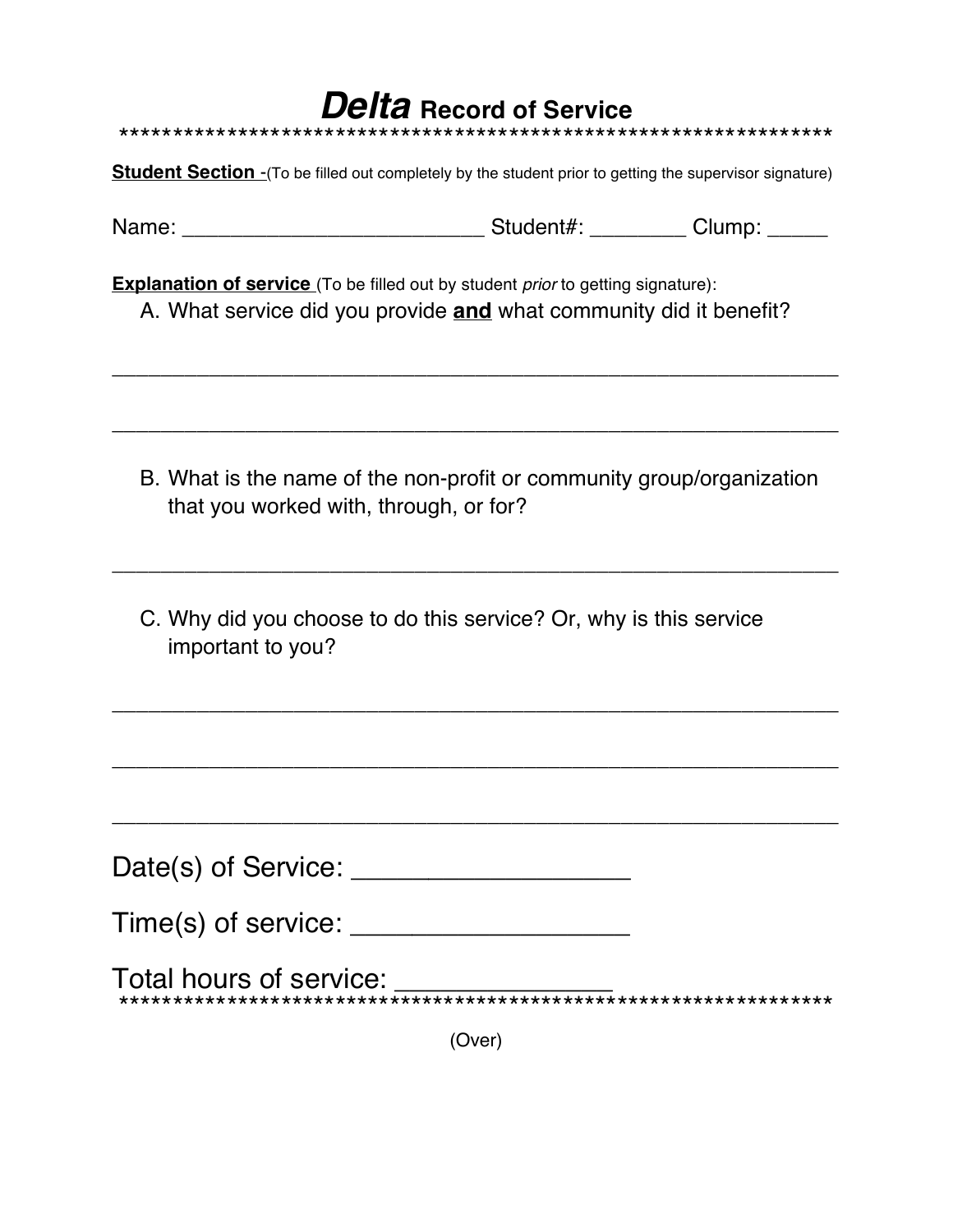## *Delta* **Record of Service** \*\*\*\*\*\*\*\*\*\*\*\*\*\*\*\*\*\*\*\*\*\*\*\*\*\*\*\*\*\*\*\*\*\*\*\*\*\*\*\*\*\*\*\*\*\*\*\*\*\*\*\*\*\*\*\*\*\*\*\*\*\*\*\*\*\*

**Student Section** -(To be filled out completely by the student prior to getting the supervisor signature)

| Name: | Student#: | Clump: |
|-------|-----------|--------|
|       |           |        |

**Explanation of service** (To be filled out by student *prior* to getting signature):

A. What service did you provide **and** what community did it benefit?

\_\_\_\_\_\_\_\_\_\_\_\_\_\_\_\_\_\_\_\_\_\_\_\_\_\_\_\_\_\_\_\_\_\_\_\_\_\_\_\_\_\_\_\_\_\_\_\_\_\_\_\_\_\_\_\_\_\_\_\_

\_\_\_\_\_\_\_\_\_\_\_\_\_\_\_\_\_\_\_\_\_\_\_\_\_\_\_\_\_\_\_\_\_\_\_\_\_\_\_\_\_\_\_\_\_\_\_\_\_\_\_\_\_\_\_\_\_\_\_\_

B. What is the name of the non-profit or community group/organization that you worked with, through, or for?

\_\_\_\_\_\_\_\_\_\_\_\_\_\_\_\_\_\_\_\_\_\_\_\_\_\_\_\_\_\_\_\_\_\_\_\_\_\_\_\_\_\_\_\_\_\_\_\_\_\_\_\_\_\_\_\_\_\_\_\_

\_\_\_\_\_\_\_\_\_\_\_\_\_\_\_\_\_\_\_\_\_\_\_\_\_\_\_\_\_\_\_\_\_\_\_\_\_\_\_\_\_\_\_\_\_\_\_\_\_\_\_\_\_\_\_\_\_\_\_\_

\_\_\_\_\_\_\_\_\_\_\_\_\_\_\_\_\_\_\_\_\_\_\_\_\_\_\_\_\_\_\_\_\_\_\_\_\_\_\_\_\_\_\_\_\_\_\_\_\_\_\_\_\_\_\_\_\_\_\_\_

\_\_\_\_\_\_\_\_\_\_\_\_\_\_\_\_\_\_\_\_\_\_\_\_\_\_\_\_\_\_\_\_\_\_\_\_\_\_\_\_\_\_\_\_\_\_\_\_\_\_\_\_\_\_\_\_\_\_\_\_

C. Why did you choose to do this service? Or, why is this service important to you?

Date(s) of Service: \_\_\_\_\_\_\_\_\_\_\_\_\_\_\_\_\_\_

|  |  | Time(s) of service: |  |
|--|--|---------------------|--|
|  |  |                     |  |

Total hours of service: \_\_\_\_\_\_\_\_\_\_\_\_\_\_ \*\*\*\*\*\*\*\*\*\*\*\*\*\*\*\*\*\*\*\*\*\*\*\*\*\*\*\*\*\*\*\*\*\*\*\*\*\*\*\*\*\*\*\*\*\*\*\*\*\*\*\*\*\*\*\*\*\*\*\*\*\*\*\*\*\*

(Over)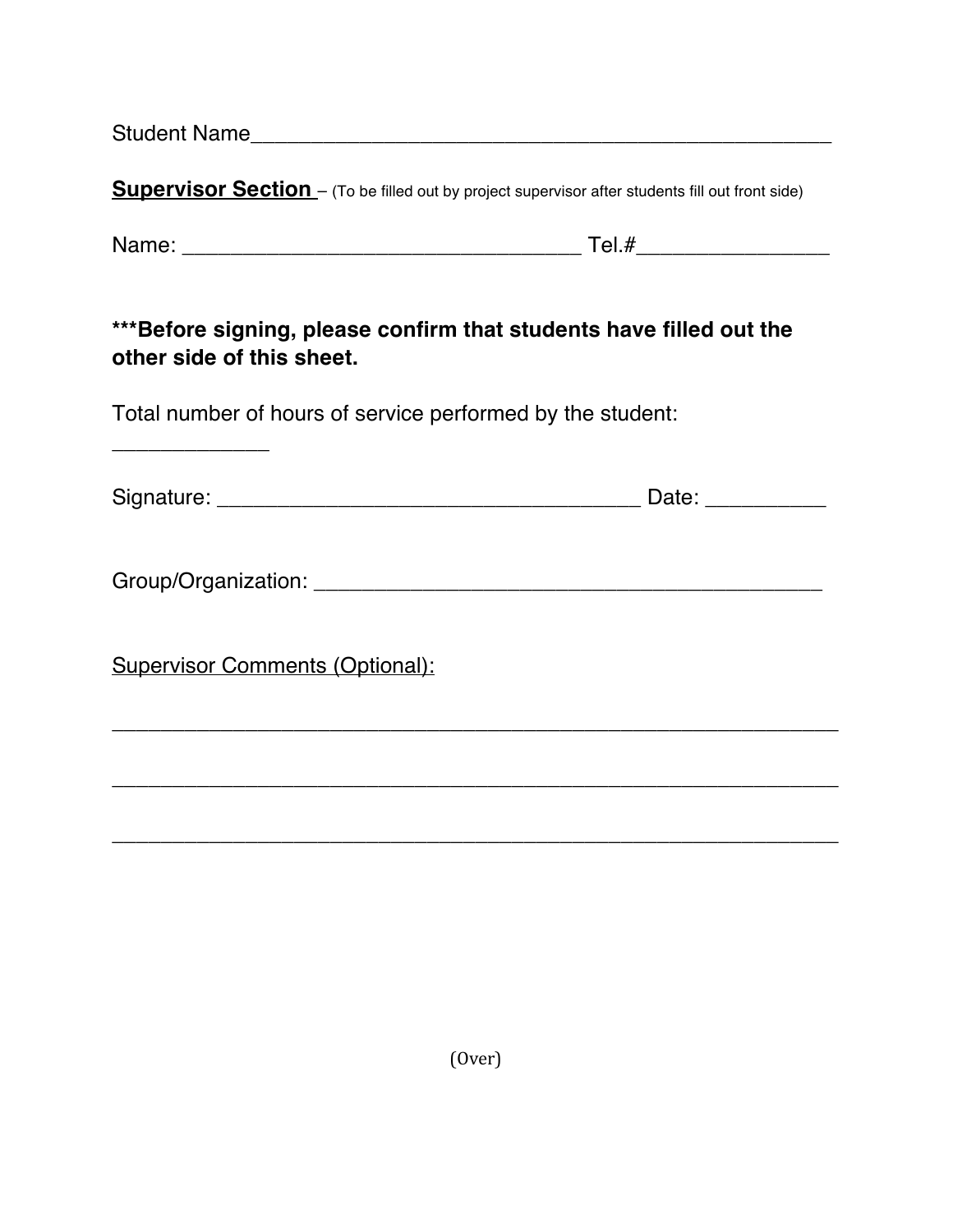Student Name\_\_\_\_\_\_\_\_\_\_\_\_\_\_\_\_\_\_\_\_\_\_\_\_\_\_\_\_\_\_\_\_\_\_\_\_\_\_\_\_\_\_\_\_\_\_\_\_ **Supervisor Section** – (To be filled out by project supervisor after students fill out front side) Name: \_\_\_\_\_\_\_\_\_\_\_\_\_\_\_\_\_\_\_\_\_\_\_\_\_\_\_\_\_\_\_\_\_ Tel.#\_\_\_\_\_\_\_\_\_\_\_\_\_\_\_\_

## **\*\*\*Before signing, please confirm that students have filled out the other side of this sheet.**

Total number of hours of service performed by the student:

| Signature: |  |
|------------|--|
|            |  |

Group/Organization: \_\_\_\_\_\_\_\_\_\_\_\_\_\_\_\_\_\_\_\_\_\_\_\_\_\_\_\_\_\_\_\_\_\_\_\_\_\_\_\_\_\_

\_\_\_\_\_\_\_\_\_\_\_\_\_\_\_\_\_\_\_\_\_\_\_\_\_\_\_\_\_\_\_\_\_\_\_\_\_\_\_\_\_\_\_\_\_\_\_\_\_\_\_\_\_\_\_\_\_\_\_\_

\_\_\_\_\_\_\_\_\_\_\_\_\_\_\_\_\_\_\_\_\_\_\_\_\_\_\_\_\_\_\_\_\_\_\_\_\_\_\_\_\_\_\_\_\_\_\_\_\_\_\_\_\_\_\_\_\_\_\_\_

Supervisor Comments (Optional):

\_\_\_\_\_\_\_\_\_\_\_\_\_

(Over)